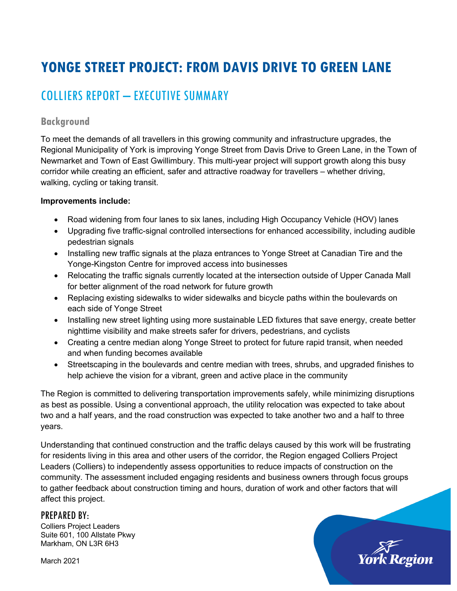# **YONGE STREET PROJECT: FROM DAVIS DRIVE TO GREEN LANE**

## COLLIERS REPORT – EXECUTIVE SUMMARY

## **Background**

To meet the demands of all travellers in this growing community and infrastructure upgrades, the Regional Municipality of York is improving Yonge Street from Davis Drive to Green Lane, in the Town of Newmarket and Town of East Gwillimbury. This multi-year project will support growth along this busy corridor while creating an efficient, safer and attractive roadway for travellers – whether driving, walking, cycling or taking transit.

#### **Improvements include:**

- Road widening from four lanes to six lanes, including High Occupancy Vehicle (HOV) lanes
- Upgrading five traffic-signal controlled intersections for enhanced accessibility, including audible pedestrian signals
- Installing new traffic signals at the plaza entrances to Yonge Street at Canadian Tire and the Yonge-Kingston Centre for improved access into businesses
- Relocating the traffic signals currently located at the intersection outside of Upper Canada Mall for better alignment of the road network for future growth
- Replacing existing sidewalks to wider sidewalks and bicycle paths within the boulevards on each side of Yonge Street
- Installing new street lighting using more sustainable LED fixtures that save energy, create better nighttime visibility and make streets safer for drivers, pedestrians, and cyclists
- Creating a centre median along Yonge Street to protect for future rapid transit, when needed and when funding becomes available
- Streetscaping in the boulevards and centre median with trees, shrubs, and upgraded finishes to help achieve the vision for a vibrant, green and active place in the community

The Region is committed to delivering transportation improvements safely, while minimizing disruptions as best as possible. Using a conventional approach, the utility relocation was expected to take about two and a half years, and the road construction was expected to take another two and a half to three years.

Understanding that continued construction and the traffic delays caused by this work will be frustrating for residents living in this area and other users of the corridor, the Region engaged Colliers Project Leaders (Colliers) to independently assess opportunities to reduce impacts of construction on the community. The assessment included engaging residents and business owners through focus groups to gather feedback about construction timing and hours, duration of work and other factors that will affect this project.

## PREPARED BY:

 Colliers Project Leaders Suite 601, 100 Allstate Pkwy Markham, ON L3R 6H3

March 2021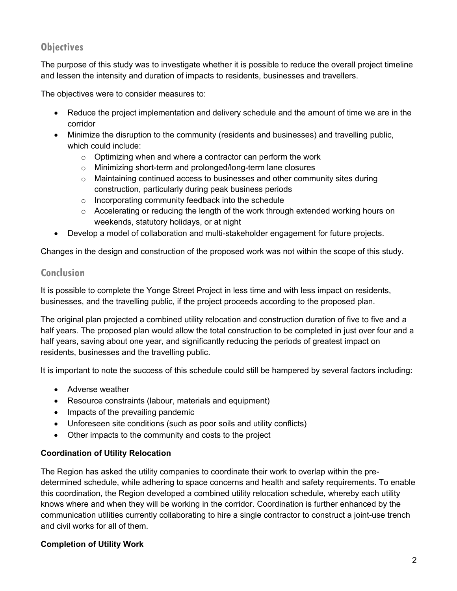## **Objectives**

The purpose of this study was to investigate whether it is possible to reduce the overall project timeline and lessen the intensity and duration of impacts to residents, businesses and travellers.

The objectives were to consider measures to:

- Reduce the project implementation and delivery schedule and the amount of time we are in the corridor
- Minimize the disruption to the community (residents and businesses) and travelling public, which could include:
	- o Optimizing when and where a contractor can perform the work
	- o Minimizing short-term and prolonged/long-term lane closures
	- $\circ$  Maintaining continued access to businesses and other community sites during construction, particularly during peak business periods
	- o Incorporating community feedback into the schedule
	- $\circ$  Accelerating or reducing the length of the work through extended working hours on weekends, statutory holidays, or at night
- Develop a model of collaboration and multi-stakeholder engagement for future projects.

Changes in the design and construction of the proposed work was not within the scope of this study.

## **Conclusion**

It is possible to complete the Yonge Street Project in less time and with less impact on residents, businesses, and the travelling public, if the project proceeds according to the proposed plan.

The original plan projected a combined utility relocation and construction duration of five to five and a half years. The proposed plan would allow the total construction to be completed in just over four and a half years, saving about one year, and significantly reducing the periods of greatest impact on residents, businesses and the travelling public.

It is important to note the success of this schedule could still be hampered by several factors including:

- Adverse weather
- Resource constraints (labour, materials and equipment)
- Impacts of the prevailing pandemic
- Unforeseen site conditions (such as poor soils and utility conflicts)
- Other impacts to the community and costs to the project

## **Coordination of Utility Relocation**

 The Region has asked the utility companies to coordinate their work to overlap within the pre- this coordination, the Region developed a combined utility relocation schedule, whereby each utility and civil works for all of them. determined schedule, while adhering to space concerns and health and safety requirements. To enable knows where and when they will be working in the corridor. Coordination is further enhanced by the communication utilities currently collaborating to hire a single contractor to construct a joint-use trench

## **Completion of Utility Work**